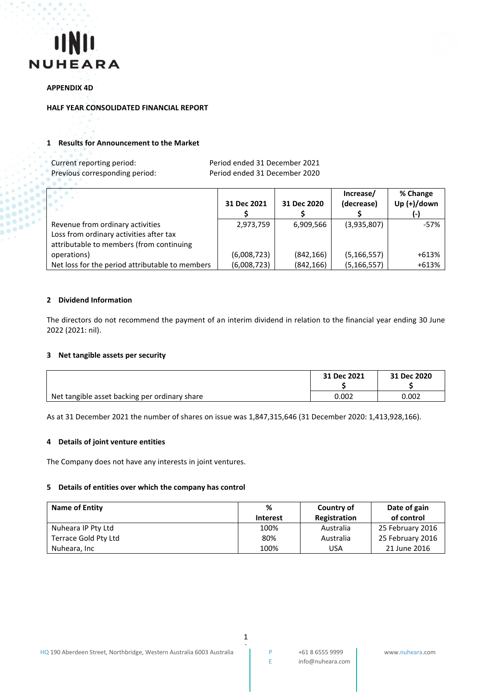

#### **APPENDIX 4D**

#### **HALF YEAR CONSOLIDATED FINANCIAL REPORT**

#### **1 Results for Announcement to the Market**

| Current reporting period:      | Period ended 31 December 2021 |
|--------------------------------|-------------------------------|
| Previous corresponding period: | Period ended 31 December 2020 |

|                                                 |             |             | Increase/     | % Change       |
|-------------------------------------------------|-------------|-------------|---------------|----------------|
|                                                 | 31 Dec 2021 | 31 Dec 2020 | (decrease)    | Up $(+)/$ down |
|                                                 |             |             |               |                |
| Revenue from ordinary activities                | 2,973,759   | 6,909,566   | (3,935,807)   | -57%           |
| Loss from ordinary activities after tax         |             |             |               |                |
| attributable to members (from continuing        |             |             |               |                |
| operations)                                     | (6,008,723) | (842, 166)  | (5, 166, 557) | +613%          |
| Net loss for the period attributable to members | (6,008,723) | (842, 166)  | (5, 166, 557) | +613%          |

#### **2 Dividend Information**

The directors do not recommend the payment of an interim dividend in relation to the financial year ending 30 June 2022 (2021: nil).

#### **3 Net tangible assets per security**

|                                               | 31 Dec 2021 | 31 Dec 2020 |
|-----------------------------------------------|-------------|-------------|
| Net tangible asset backing per ordinary share | 0.002       | 0.002       |

As at 31 December 2021 the number of shares on issue was 1,847,315,646 (31 December 2020: 1,413,928,166).

#### **4 Details of joint venture entities**

The Company does not have any interests in joint ventures.

#### **5 Details of entities over which the company has control**

| Name of Entity       | %               | Country of   | Date of gain     |
|----------------------|-----------------|--------------|------------------|
|                      | <b>Interest</b> | Registration | of control       |
| Nuheara IP Pty Ltd   | 100%            | Australia    | 25 February 2016 |
| Terrace Gold Pty Ltd | 80%             | Australia    | 25 February 2016 |
| Nuheara, Inc         | 100%            | USA          | 21 June 2016     |

1 1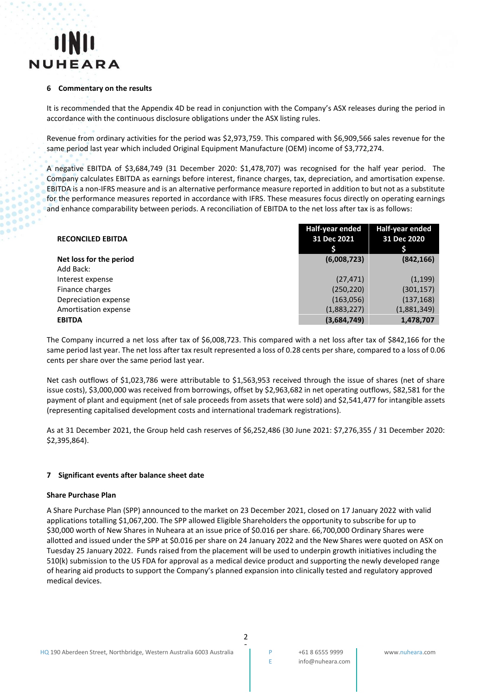

#### **6 Commentary on the results**

It is recommended that the Appendix 4D be read in conjunction with the Company's ASX releases during the period in accordance with the continuous disclosure obligations under the ASX listing rules.

Revenue from ordinary activities for the period was \$2,973,759. This compared with \$6,909,566 sales revenue for the same period last year which included Original Equipment Manufacture (OEM) income of \$3,772,274.

A negative EBITDA of \$3,684,749 (31 December 2020: \$1,478,707) was recognised for the half year period. The Company calculates EBITDA as earnings before interest, finance charges, tax, depreciation, and amortisation expense. EBITDA is a non-IFRS measure and is an alternative performance measure reported in addition to but not as a substitute for the performance measures reported in accordance with IFRS. These measures focus directly on operating earnings and enhance comparability between periods. A reconciliation of EBITDA to the net loss after tax is as follows:

| <b>RECONCILED EBITDA</b> | Half-year ended<br>31 Dec 2021 | <b>Half-year ended</b><br>31 Dec 2020 |
|--------------------------|--------------------------------|---------------------------------------|
| Net loss for the period  | (6,008,723)                    | (842, 166)                            |
| Add Back:                |                                |                                       |
| Interest expense         | (27, 471)                      | (1, 199)                              |
| Finance charges          | (250, 220)                     | (301, 157)                            |
| Depreciation expense     | (163,056)                      | (137, 168)                            |
| Amortisation expense     | (1,883,227)                    | (1,881,349)                           |
| <b>EBITDA</b>            | (3,684,749)                    | 1,478,707                             |

The Company incurred a net loss after tax of \$6,008,723. This compared with a net loss after tax of \$842,166 for the same period last year. The net loss after tax result represented a loss of 0.28 cents per share, compared to a loss of 0.06 cents per share over the same period last year.

Net cash outflows of \$1,023,786 were attributable to \$1,563,953 received through the issue of shares (net of share issue costs), \$3,000,000 was received from borrowings, offset by \$2,963,682 in net operating outflows, \$82,581 for the payment of plant and equipment (net of sale proceeds from assets that were sold) and \$2,541,477 for intangible assets (representing capitalised development costs and international trademark registrations).

As at 31 December 2021, the Group held cash reserves of \$6,252,486 (30 June 2021: \$7,276,355 / 31 December 2020: \$2,395,864).

#### **7 Significant events after balance sheet date**

#### **Share Purchase Plan**

A Share Purchase Plan (SPP) announced to the market on 23 December 2021, closed on 17 January 2022 with valid applications totalling \$1,067,200. The SPP allowed Eligible Shareholders the opportunity to subscribe for up to \$30,000 worth of New Shares in Nuheara at an issue price of \$0.016 per share. 66,700,000 Ordinary Shares were allotted and issued under the SPP at \$0.016 per share on 24 January 2022 and the New Shares were quoted on ASX on Tuesday 25 January 2022. Funds raised from the placement will be used to underpin growth initiatives including the 510(k) submission to the US FDA for approval as a medical device product and supporting the newly developed range of hearing aid products to support the Company's planned expansion into clinically tested and regulatory approved medical devices.

2 2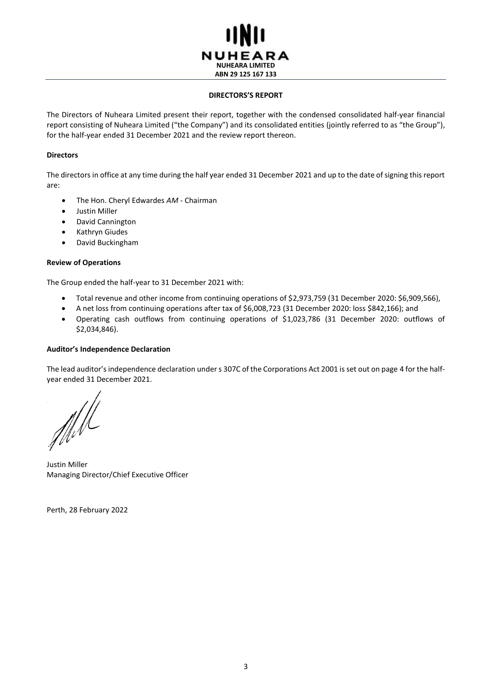

#### **DIRECTORS'S REPORT**

The Directors of Nuheara Limited present their report, together with the condensed consolidated half-year financial report consisting of Nuheara Limited ("the Company") and its consolidated entities (jointly referred to as "the Group"), for the half-year ended 31 December 2021 and the review report thereon.

#### **Directors**

The directors in office at any time during the half year ended 31 December 2021 and up to the date of signing this report are:

- The Hon. Cheryl Edwardes *AM* Chairman
- Justin Miller
- David Cannington
- Kathryn Giudes
- David Buckingham

#### **Review of Operations**

The Group ended the half-year to 31 December 2021 with:

- Total revenue and other income from continuing operations of \$2,973,759 (31 December 2020: \$6,909,566),
- A net loss from continuing operations after tax of \$6,008,723 (31 December 2020: loss \$842,166); and
- Operating cash outflows from continuing operations of \$1,023,786 (31 December 2020: outflows of \$2,034,846).

#### **Auditor's Independence Declaration**

The lead auditor's independence declaration under s 307C of the Corporations Act 2001 is set out on page 4 for the halfyear ended 31 December 2021.

ffell

Justin Miller Managing Director/Chief Executive Officer

Perth, 28 February 2022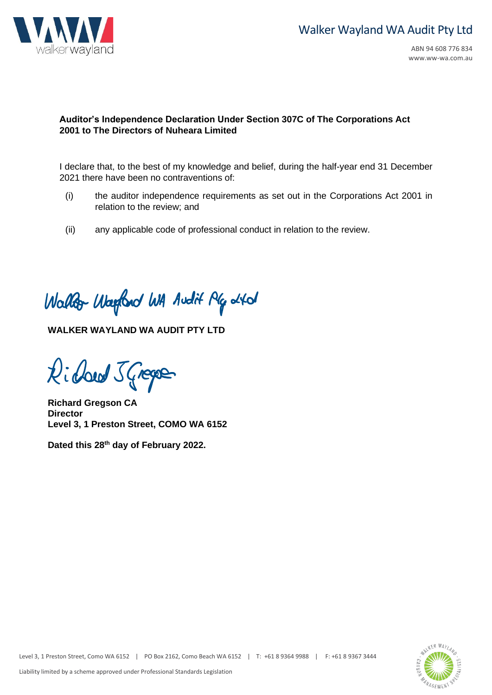

## **Auditor's Independence Declaration Under Section 307C of The Corporations Act 2001 to The Directors of Nuheara Limited**

I declare that, to the best of my knowledge and belief, during the half-year end 31 December 2021 there have been no contraventions of:

- (i) the auditor independence requirements as set out in the Corporations Act 2001 in relation to the review; and
- (ii) any applicable code of professional conduct in relation to the review.

Wallor Waylord WA Audit Plg 2401

**WALKER WAYLAND WA AUDIT PTY LTD**

Richard J Gregor

**Richard Gregson CA Director Level 3, 1 Preston Street, COMO WA 6152**

**Dated this 28 th day of February 2022.**

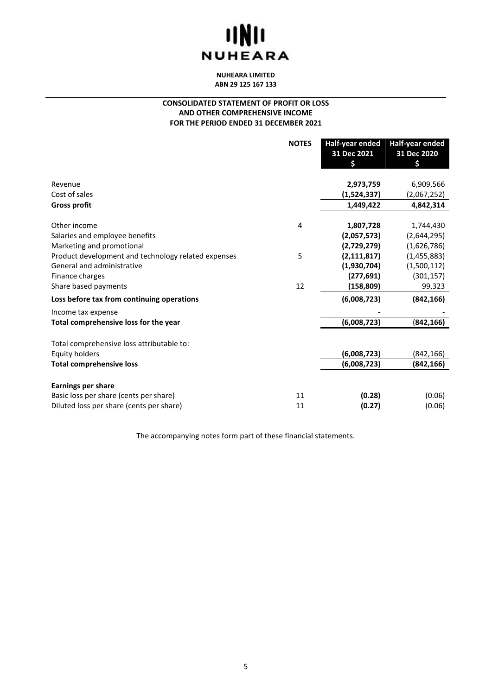# **UNIL NUHEARA**

**NUHEARA LIMITED ABN 29 125 167 133**

#### **CONSOLIDATED STATEMENT OF PROFIT OR LOSS AND OTHER COMPREHENSIVE INCOME FOR THE PERIOD ENDED 31 DECEMBER 2021**

| 31 Dec 2020<br>\$ |
|-------------------|
|                   |
|                   |
|                   |
| 6,909,566         |
| (2,067,252)       |
| 4,842,314         |
| 1,744,430         |
| (2,644,295)       |
| (1,626,786)       |
| (1,455,883)       |
| (1,500,112)       |
| (301, 157)        |
| 99,323            |
| (842, 166)        |
|                   |
| (842, 166)        |
|                   |
| (842, 166)        |
| (842, 166)        |
|                   |
|                   |
| (0.06)            |
| (0.06)            |
|                   |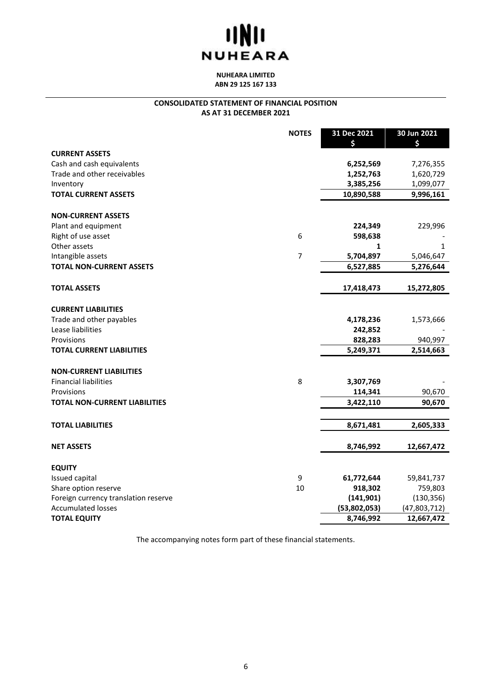# **IINII NUHEARA**

**NUHEARA LIMITED ABN 29 125 167 133**

#### **CONSOLIDATED STATEMENT OF FINANCIAL POSITION AS AT 31 DECEMBER 2021**

|                                      | <b>NOTES</b>   | 31 Dec 2021<br>\$ | 30 Jun 2021<br>\$ |
|--------------------------------------|----------------|-------------------|-------------------|
| <b>CURRENT ASSETS</b>                |                |                   |                   |
| Cash and cash equivalents            |                | 6,252,569         | 7,276,355         |
| Trade and other receivables          |                | 1,252,763         | 1,620,729         |
| Inventory                            |                | 3,385,256         | 1,099,077         |
| <b>TOTAL CURRENT ASSETS</b>          |                | 10,890,588        | 9,996,161         |
|                                      |                |                   |                   |
| <b>NON-CURRENT ASSETS</b>            |                |                   |                   |
| Plant and equipment                  |                | 224,349           | 229,996           |
| Right of use asset                   | 6              | 598,638           |                   |
| Other assets                         |                | 1                 | 1                 |
| Intangible assets                    | $\overline{7}$ | 5,704,897         | 5,046,647         |
| <b>TOTAL NON-CURRENT ASSETS</b>      |                | 6,527,885         | 5,276,644         |
|                                      |                |                   |                   |
| <b>TOTAL ASSETS</b>                  |                | 17,418,473        | 15,272,805        |
| <b>CURRENT LIABILITIES</b>           |                |                   |                   |
| Trade and other payables             |                | 4,178,236         | 1,573,666         |
| Lease liabilities                    |                | 242,852           |                   |
| Provisions                           |                | 828,283           | 940,997           |
| <b>TOTAL CURRENT LIABILITIES</b>     |                | 5,249,371         | 2,514,663         |
|                                      |                |                   |                   |
| <b>NON-CURRENT LIABILITIES</b>       |                |                   |                   |
| <b>Financial liabilities</b>         | 8              | 3,307,769         |                   |
| Provisions                           |                | 114,341           | 90,670            |
| <b>TOTAL NON-CURRENT LIABILITIES</b> |                | 3,422,110         | 90,670            |
|                                      |                |                   |                   |
| <b>TOTAL LIABILITIES</b>             |                | 8,671,481         | 2,605,333         |
| <b>NET ASSETS</b>                    |                | 8,746,992         | 12,667,472        |
|                                      |                |                   |                   |
| <b>EQUITY</b>                        |                |                   |                   |
| Issued capital                       | 9              | 61,772,644        | 59,841,737        |
| Share option reserve                 | 10             | 918,302           | 759,803           |
| Foreign currency translation reserve |                | (141, 901)        | (130, 356)        |
| <b>Accumulated losses</b>            |                | (53,802,053)      | (47,803,712)      |
| <b>TOTAL EQUITY</b>                  |                | 8,746,992         | 12,667,472        |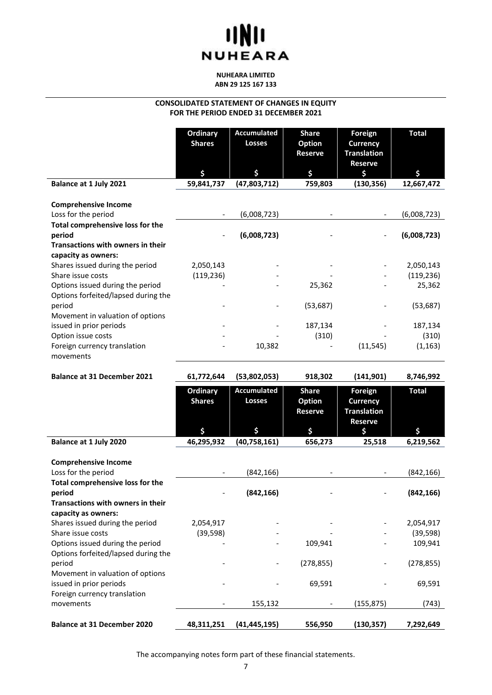## **UND NUHEARA**

#### **NUHEARA LIMITED ABN 29 125 167 133**

#### **CONSOLIDATED STATEMENT OF CHANGES IN EQUITY FOR THE PERIOD ENDED 31 DECEMBER 2021**

|                                                                         | Ordinary<br><b>Shares</b><br>\$ | <b>Accumulated</b><br><b>Losses</b><br>\$ | <b>Share</b><br><b>Option</b><br><b>Reserve</b><br>\$ | <b>Foreign</b><br><b>Currency</b><br><b>Translation</b><br><b>Reserve</b><br>\$ | <b>Total</b><br>Ś |
|-------------------------------------------------------------------------|---------------------------------|-------------------------------------------|-------------------------------------------------------|---------------------------------------------------------------------------------|-------------------|
| Balance at 1 July 2021                                                  | 59,841,737                      | (47,803,712)                              | 759,803                                               | (130, 356)                                                                      | 12,667,472        |
| <b>Comprehensive Income</b><br>Loss for the period                      |                                 | (6,008,723)                               |                                                       |                                                                                 | (6,008,723)       |
| Total comprehensive loss for the<br>period                              |                                 | (6,008,723)                               |                                                       |                                                                                 | (6,008,723)       |
| <b>Transactions with owners in their</b><br>capacity as owners:         |                                 |                                           |                                                       |                                                                                 |                   |
| Shares issued during the period                                         | 2,050,143                       |                                           |                                                       |                                                                                 | 2,050,143         |
| Share issue costs                                                       | (119, 236)                      |                                           |                                                       |                                                                                 | (119, 236)        |
| Options issued during the period<br>Options forfeited/lapsed during the |                                 |                                           | 25,362                                                |                                                                                 | 25,362            |
| period<br>Movement in valuation of options                              |                                 |                                           | (53, 687)                                             |                                                                                 | (53, 687)         |
| issued in prior periods                                                 |                                 |                                           | 187,134                                               |                                                                                 | 187,134           |
| Option issue costs                                                      |                                 |                                           | (310)                                                 |                                                                                 | (310)             |
| Foreign currency translation<br>movements                               |                                 | 10,382                                    |                                                       | (11, 545)                                                                       | (1, 163)          |

| <b>Balance at 31 December 2021</b>                                                | 61,772,644                | (53,802,053)                        | 918,302                                         | (141, 901)                                                         | 8,746,992              |
|-----------------------------------------------------------------------------------|---------------------------|-------------------------------------|-------------------------------------------------|--------------------------------------------------------------------|------------------------|
|                                                                                   | Ordinary<br><b>Shares</b> | <b>Accumulated</b><br><b>Losses</b> | <b>Share</b><br><b>Option</b><br><b>Reserve</b> | Foreign<br><b>Currency</b><br><b>Translation</b><br><b>Reserve</b> | <b>Total</b>           |
|                                                                                   | \$                        | \$                                  | \$                                              | Ś.                                                                 | Ś.                     |
| Balance at 1 July 2020                                                            | 46,295,932                | (40,758,161)                        | 656,273                                         | 25,518                                                             | 6,219,562              |
| <b>Comprehensive Income</b><br>Loss for the period                                |                           | (842, 166)                          |                                                 |                                                                    | (842, 166)             |
| Total comprehensive loss for the<br>period<br>Transactions with owners in their   |                           | (842, 166)                          |                                                 |                                                                    | (842, 166)             |
| capacity as owners:                                                               |                           |                                     |                                                 |                                                                    |                        |
| Shares issued during the period<br>Share issue costs                              | 2,054,917<br>(39, 598)    |                                     |                                                 |                                                                    | 2,054,917<br>(39, 598) |
| Options issued during the period                                                  |                           |                                     | 109,941                                         |                                                                    | 109,941                |
| Options forfeited/lapsed during the<br>period<br>Movement in valuation of options |                           |                                     | (278, 855)                                      |                                                                    | (278, 855)             |
| issued in prior periods<br>Foreign currency translation                           |                           |                                     | 69,591                                          |                                                                    | 69,591                 |
| movements                                                                         |                           | 155,132                             |                                                 | (155, 875)                                                         | (743)                  |
| <b>Balance at 31 December 2020</b>                                                | 48,311,251                | (41, 445, 195)                      | 556,950                                         | (130, 357)                                                         | 7,292,649              |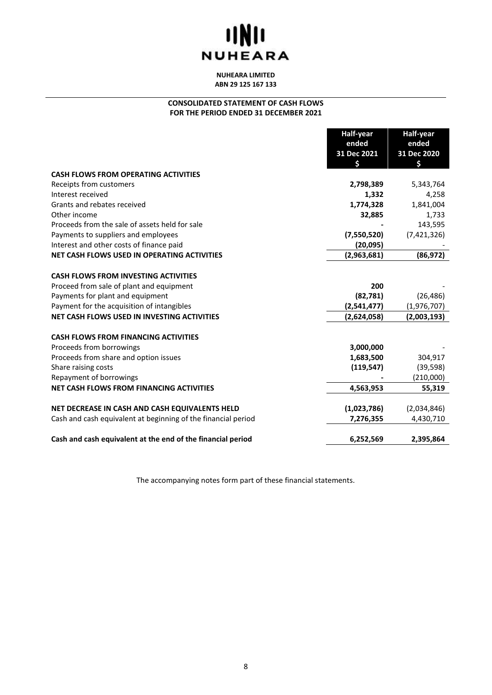# **IINII NUHEARA**

**NUHEARA LIMITED ABN 29 125 167 133**

### **CONSOLIDATED STATEMENT OF CASH FLOWS FOR THE PERIOD ENDED 31 DECEMBER 2021**

|                                                               | Half-year   | Half-year   |
|---------------------------------------------------------------|-------------|-------------|
|                                                               | ended       | ended       |
|                                                               | 31 Dec 2021 | 31 Dec 2020 |
|                                                               | \$          | \$          |
| <b>CASH FLOWS FROM OPERATING ACTIVITIES</b>                   |             |             |
| Receipts from customers                                       | 2,798,389   | 5,343,764   |
| Interest received                                             | 1,332       | 4,258       |
| Grants and rebates received                                   | 1,774,328   | 1,841,004   |
| Other income                                                  | 32,885      | 1,733       |
| Proceeds from the sale of assets held for sale                |             | 143,595     |
| Payments to suppliers and employees                           | (7,550,520) | (7,421,326) |
| Interest and other costs of finance paid                      | (20,095)    |             |
| NET CASH FLOWS USED IN OPERATING ACTIVITIES                   | (2,963,681) | (86, 972)   |
|                                                               |             |             |
| <b>CASH FLOWS FROM INVESTING ACTIVITIES</b>                   |             |             |
| Proceed from sale of plant and equipment                      | 200         |             |
| Payments for plant and equipment                              | (82, 781)   | (26, 486)   |
| Payment for the acquisition of intangibles                    | (2,541,477) | (1,976,707) |
| NET CASH FLOWS USED IN INVESTING ACTIVITIES                   | (2,624,058) | (2,003,193) |
| <b>CASH FLOWS FROM FINANCING ACTIVITIES</b>                   |             |             |
| Proceeds from borrowings                                      | 3,000,000   |             |
| Proceeds from share and option issues                         | 1,683,500   | 304,917     |
| Share raising costs                                           | (119, 547)  | (39, 598)   |
| Repayment of borrowings                                       |             | (210,000)   |
| <b>NET CASH FLOWS FROM FINANCING ACTIVITIES</b>               | 4,563,953   | 55,319      |
|                                                               |             |             |
| NET DECREASE IN CASH AND CASH EQUIVALENTS HELD                | (1,023,786) | (2,034,846) |
| Cash and cash equivalent at beginning of the financial period | 7,276,355   | 4,430,710   |
| Cash and cash equivalent at the end of the financial period   | 6,252,569   | 2,395,864   |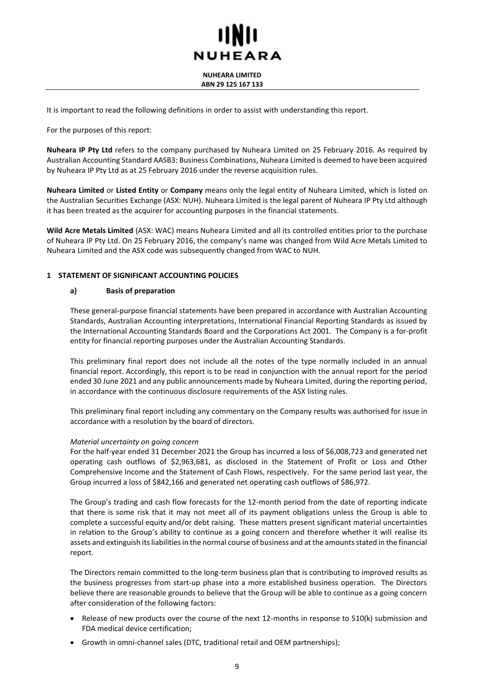#### **NUHEARA LIMITED ABN 29 125 167 133**

It is important to read the following definitions in order to assist with understanding this report.

For the purposes of this report:

**Nuheara IP Pty Ltd** refers to the company purchased by Nuheara Limited on 25 February 2016. As required by Australian Accounting Standard AASB3: Business Combinations, Nuheara Limited is deemed to have been acquired by Nuheara IP Pty Ltd as at 25 February 2016 under the reverse acquisition rules.

**Nuheara Limited** or **Listed Entity** or **Company** means only the legal entity of Nuheara Limited, which is listed on the Australian Securities Exchange (ASX: NUH). Nuheara Limited is the legal parent of Nuheara IP Pty Ltd although it has been treated as the acquirer for accounting purposes in the financial statements.

**Wild Acre Metals Limited** (ASX: WAC) means Nuheara Limited and all its controlled entities prior to the purchase of Nuheara IP Pty Ltd. On 25 February 2016, the company's name was changed from Wild Acre Metals Limited to Nuheara Limited and the ASX code was subsequently changed from WAC to NUH.

#### **1 STATEMENT OF SIGNIFICANT ACCOUNTING POLICIES**

#### **a) Basis of preparation**

These general-purpose financial statements have been prepared in accordance with Australian Accounting Standards, Australian Accounting interpretations, International Financial Reporting Standards as issued by the International Accounting Standards Board and the Corporations Act 2001. The Company is a for-profit entity for financial reporting purposes under the Australian Accounting Standards.

This preliminary final report does not include all the notes of the type normally included in an annual financial report. Accordingly, this report is to be read in conjunction with the annual report for the period ended 30 June 2021 and any public announcements made by Nuheara Limited, during the reporting period, in accordance with the continuous disclosure requirements of the ASX listing rules.

This preliminary final report including any commentary on the Company results was authorised for issue in accordance with a resolution by the board of directors.

#### *Material uncertainty on going concern*

For the half-year ended 31 December 2021 the Group has incurred a loss of \$6,008,723 and generated net operating cash outflows of \$2,963,681, as disclosed in the Statement of Profit or Loss and Other Comprehensive Income and the Statement of Cash Flows, respectively. For the same period last year, the Group incurred a loss of \$842,166 and generated net operating cash outflows of \$86,972.

The Group's trading and cash flow forecasts for the 12-month period from the date of reporting indicate that there is some risk that it may not meet all of its payment obligations unless the Group is able to complete a successful equity and/or debt raising. These matters present significant material uncertainties in relation to the Group's ability to continue as a going concern and therefore whether it will realise its assets and extinguish its liabilities in the normal course of business and at the amounts stated in the financial report.

The Directors remain committed to the long-term business plan that is contributing to improved results as the business progresses from start-up phase into a more established business operation. The Directors believe there are reasonable grounds to believe that the Group will be able to continue as a going concern after consideration of the following factors:

- Release of new products over the course of the next 12-months in response to 510(k) submission and FDA medical device certification;
- Growth in omni-channel sales (DTC, traditional retail and OEM partnerships);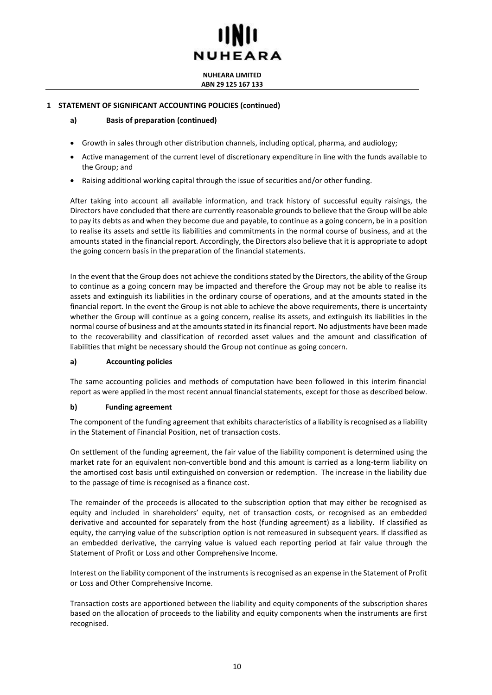**NUHEARA LIMITED ABN 29 125 167 133**

#### **1 STATEMENT OF SIGNIFICANT ACCOUNTING POLICIES (continued)**

#### **a) Basis of preparation (continued)**

- Growth in sales through other distribution channels, including optical, pharma, and audiology;
- Active management of the current level of discretionary expenditure in line with the funds available to the Group; and
- Raising additional working capital through the issue of securities and/or other funding.

After taking into account all available information, and track history of successful equity raisings, the Directors have concluded that there are currently reasonable grounds to believe that the Group will be able to pay its debts as and when they become due and payable, to continue as a going concern, be in a position to realise its assets and settle its liabilities and commitments in the normal course of business, and at the amounts stated in the financial report. Accordingly, the Directors also believe that it is appropriate to adopt the going concern basis in the preparation of the financial statements.

In the event that the Group does not achieve the conditions stated by the Directors, the ability of the Group to continue as a going concern may be impacted and therefore the Group may not be able to realise its assets and extinguish its liabilities in the ordinary course of operations, and at the amounts stated in the financial report. In the event the Group is not able to achieve the above requirements, there is uncertainty whether the Group will continue as a going concern, realise its assets, and extinguish its liabilities in the normal course of business and at the amounts stated in its financial report. No adjustments have been made to the recoverability and classification of recorded asset values and the amount and classification of liabilities that might be necessary should the Group not continue as going concern.

#### **a) Accounting policies**

The same accounting policies and methods of computation have been followed in this interim financial report as were applied in the most recent annual financial statements, except for those as described below.

#### **b) Funding agreement**

The component of the funding agreement that exhibits characteristics of a liability is recognised as a liability in the Statement of Financial Position, net of transaction costs.

On settlement of the funding agreement, the fair value of the liability component is determined using the market rate for an equivalent non-convertible bond and this amount is carried as a long-term liability on the amortised cost basis until extinguished on conversion or redemption. The increase in the liability due to the passage of time is recognised as a finance cost.

The remainder of the proceeds is allocated to the subscription option that may either be recognised as equity and included in shareholders' equity, net of transaction costs, or recognised as an embedded derivative and accounted for separately from the host (funding agreement) as a liability. If classified as equity, the carrying value of the subscription option is not remeasured in subsequent years. If classified as an embedded derivative, the carrying value is valued each reporting period at fair value through the Statement of Profit or Loss and other Comprehensive Income.

Interest on the liability component of the instruments is recognised as an expense in the Statement of Profit or Loss and Other Comprehensive Income.

Transaction costs are apportioned between the liability and equity components of the subscription shares based on the allocation of proceeds to the liability and equity components when the instruments are first recognised.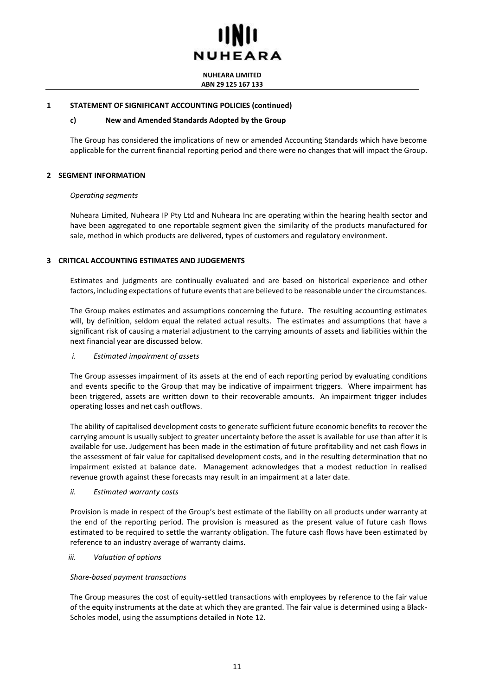

**NUHEARA LIMITED ABN 29 125 167 133**

#### **1 STATEMENT OF SIGNIFICANT ACCOUNTING POLICIES (continued)**

#### **c) New and Amended Standards Adopted by the Group**

The Group has considered the implications of new or amended Accounting Standards which have become applicable for the current financial reporting period and there were no changes that will impact the Group.

#### **2 SEGMENT INFORMATION**

#### *Operating segments*

Nuheara Limited, Nuheara IP Pty Ltd and Nuheara Inc are operating within the hearing health sector and have been aggregated to one reportable segment given the similarity of the products manufactured for sale, method in which products are delivered, types of customers and regulatory environment.

#### **3 CRITICAL ACCOUNTING ESTIMATES AND JUDGEMENTS**

Estimates and judgments are continually evaluated and are based on historical experience and other factors, including expectations of future events that are believed to be reasonable under the circumstances.

The Group makes estimates and assumptions concerning the future. The resulting accounting estimates will, by definition, seldom equal the related actual results. The estimates and assumptions that have a significant risk of causing a material adjustment to the carrying amounts of assets and liabilities within the next financial year are discussed below.

#### *i. Estimated impairment of assets*

The Group assesses impairment of its assets at the end of each reporting period by evaluating conditions and events specific to the Group that may be indicative of impairment triggers. Where impairment has been triggered, assets are written down to their recoverable amounts. An impairment trigger includes operating losses and net cash outflows.

The ability of capitalised development costs to generate sufficient future economic benefits to recover the carrying amount is usually subject to greater uncertainty before the asset is available for use than after it is available for use. Judgement has been made in the estimation of future profitability and net cash flows in the assessment of fair value for capitalised development costs, and in the resulting determination that no impairment existed at balance date. Management acknowledges that a modest reduction in realised revenue growth against these forecasts may result in an impairment at a later date.

#### *ii. Estimated warranty costs*

Provision is made in respect of the Group's best estimate of the liability on all products under warranty at the end of the reporting period. The provision is measured as the present value of future cash flows estimated to be required to settle the warranty obligation. The future cash flows have been estimated by reference to an industry average of warranty claims.

#### *iii. Valuation of options*

#### *Share-based payment transactions*

The Group measures the cost of equity-settled transactions with employees by reference to the fair value of the equity instruments at the date at which they are granted. The fair value is determined using a Black-Scholes model, using the assumptions detailed in Note [12.](#page-16-0)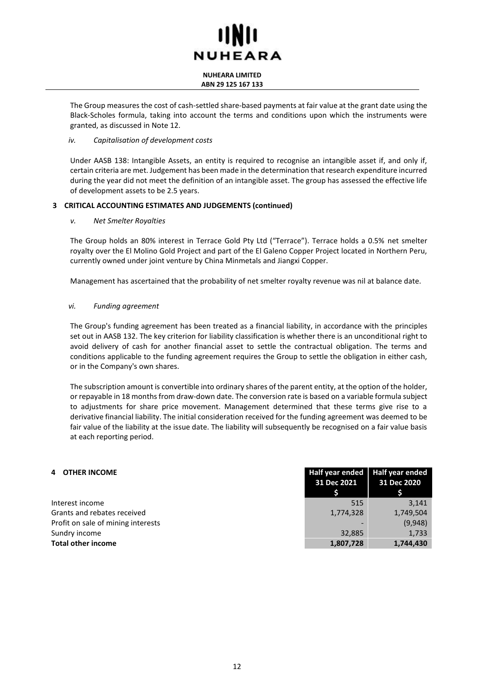#### **NUHEARA LIMITED ABN 29 125 167 133**

The Group measures the cost of cash-settled share-based payments at fair value at the grant date using the Black-Scholes formula, taking into account the terms and conditions upon which the instruments were granted, as discussed in Note [12.](#page-16-0)

#### *iv. Capitalisation of development costs*

Under AASB 138: Intangible Assets, an entity is required to recognise an intangible asset if, and only if, certain criteria are met. Judgement has been made in the determination that research expenditure incurred during the year did not meet the definition of an intangible asset. The group has assessed the effective life of development assets to be 2.5 years.

#### **3 CRITICAL ACCOUNTING ESTIMATES AND JUDGEMENTS (continued)**

#### *v. Net Smelter Royalties*

The Group holds an 80% interest in Terrace Gold Pty Ltd ("Terrace"). Terrace holds a 0.5% net smelter royalty over the El Molino Gold Project and part of the El Galeno Copper Project located in Northern Peru, currently owned under joint venture by China Minmetals and Jiangxi Copper.

Management has ascertained that the probability of net smelter royalty revenue was nil at balance date.

#### *vi. Funding agreement*

The Group's funding agreement has been treated as a financial liability, in accordance with the principles set out in AASB 132. The key criterion for liability classification is whether there is an unconditional right to avoid delivery of cash for another financial asset to settle the contractual obligation. The terms and conditions applicable to the funding agreement requires the Group to settle the obligation in either cash, or in the Company's own shares.

The subscription amount is convertible into ordinary shares of the parent entity, at the option of the holder, or repayable in 18 months from draw-down date. The conversion rate is based on a variable formula subject to adjustments for share price movement. Management determined that these terms give rise to a derivative financial liability. The initial consideration received for the funding agreement was deemed to be fair value of the liability at the issue date. The liability will subsequently be recognised on a fair value basis at each reporting period.

<span id="page-11-0"></span>

| 4 OTHER INCOME                     | Half year ended<br>31 Dec 2021 | <b>Half year ended</b><br>31 Dec 2020 |
|------------------------------------|--------------------------------|---------------------------------------|
| Interest income                    | 515                            | 3.141                                 |
| Grants and rebates received        | 1,774,328                      | 1,749,504                             |
| Profit on sale of mining interests |                                | (9,948)                               |
| Sundry income                      | 32,885                         | 1,733                                 |
| <b>Total other income</b>          | 1,807,728                      | 1.744.430                             |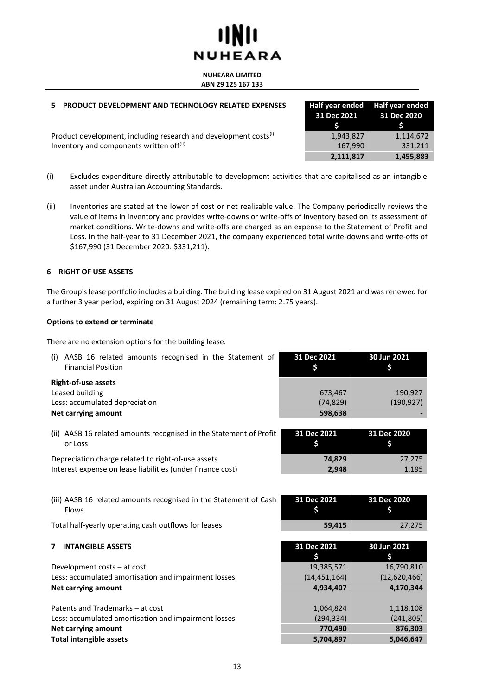#### **NUHEARA LIMITED ABN 29 125 167 133**

### <span id="page-12-0"></span>**5 PRODUCT DEVELOPMENT AND TECHNOLOGY RELATED EXPENSES**

Product development, including research and development costs<sup>(i)</sup> Inventory and components written off<sup>(ii)</sup>

| Half year ended<br>31 Dec 2021<br>S | <b>Half year ended</b><br>31 Dec 2020<br>S. |
|-------------------------------------|---------------------------------------------|
| 1,943,827                           | 1,114,672                                   |
| 167,990                             | 331,211                                     |
| 2,111,817                           | 1,455,883                                   |

- (i) Excludes expenditure directly attributable to development activities that are capitalised as an intangible asset under Australian Accounting Standards.
- (ii) Inventories are stated at the lower of cost or net realisable value. The Company periodically reviews the value of items in inventory and provides write-downs or write-offs of inventory based on its assessment of market conditions. Write-downs and write-offs are charged as an expense to the Statement of Profit and Loss. In the half-year to 31 December 2021, the company experienced total write-downs and write-offs of \$167,990 (31 December 2020: \$331,211).

#### <span id="page-12-1"></span>**6 RIGHT OF USE ASSETS**

The Group's lease portfolio includes a building. The building lease expired on 31 August 2021 and was renewed for a further 3 year period, expiring on 31 August 2024 (remaining term: 2.75 years).

#### **Options to extend or terminate**

There are no extension options for the building lease.

<span id="page-12-2"></span>

| AASB 16 related amounts recognised in the Statement of<br>(i)<br><b>Financial Position</b> | 31 Dec 2021<br>\$ | 30 Jun 2021<br>\$ |
|--------------------------------------------------------------------------------------------|-------------------|-------------------|
| <b>Right-of-use assets</b>                                                                 |                   |                   |
| Leased building                                                                            | 673,467           | 190,927           |
| Less: accumulated depreciation                                                             | (74, 829)         | (190, 927)        |
| <b>Net carrying amount</b>                                                                 | 598,638           |                   |
| (ii) AASB 16 related amounts recognised in the Statement of Profit                         | 31 Dec 2021       | 31 Dec 2020       |
| or Loss                                                                                    | \$                | \$                |
| Depreciation charge related to right-of-use assets                                         | 74,829            | 27,275            |
| Interest expense on lease liabilities (under finance cost)                                 | 2,948             | 1,195             |
|                                                                                            |                   |                   |
| (iii) AASB 16 related amounts recognised in the Statement of Cash                          | 31 Dec 2021       | 31 Dec 2020       |
| Flows                                                                                      |                   | \$                |
| Total half-yearly operating cash outflows for leases                                       | 59,415            | 27,275            |
|                                                                                            |                   |                   |
| <b>INTANGIBLE ASSETS</b><br>7                                                              | 31 Dec 2021       | 30 Jun 2021       |
|                                                                                            | \$                | \$                |
| Development costs - at cost                                                                | 19,385,571        | 16,790,810        |
| Less: accumulated amortisation and impairment losses                                       | (14, 451, 164)    | (12,620,466)      |
| <b>Net carrying amount</b>                                                                 | 4,934,407         | 4,170,344         |
|                                                                                            |                   |                   |
| Patents and Trademarks - at cost                                                           | 1,064,824         | 1,118,108         |
| Less: accumulated amortisation and impairment losses                                       | (294, 334)        | (241, 805)        |
| <b>Net carrying amount</b>                                                                 | 770,490           | 876,303           |
| <b>Total intangible assets</b>                                                             | 5,704,897         | 5,046,647         |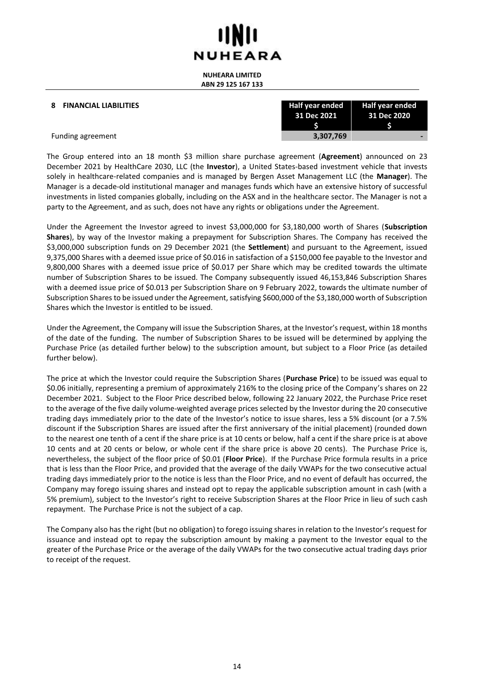**NUHEARA LIMITED ABN 29 125 167 133**

#### **8 FINANCIAL LIABILITIES**

| Half year ended | Half year ended |
|-----------------|-----------------|
| 31 Dec 2021     | 31 Dec 2020     |
|                 |                 |
| 3,307,769       |                 |

Funding agreement **3,307,769 -**

The Group entered into an 18 month \$3 million share purchase agreement (**Agreement**) announced on 23 December 2021 by HealthCare 2030, LLC (the **Investor**), a United States-based investment vehicle that invests solely in healthcare-related companies and is managed by Bergen Asset Management LLC (the **Manager**). The Manager is a decade-old institutional manager and manages funds which have an extensive history of successful investments in listed companies globally, including on the ASX and in the healthcare sector. The Manager is not a party to the Agreement, and as such, does not have any rights or obligations under the Agreement.

Under the Agreement the Investor agreed to invest \$3,000,000 for \$3,180,000 worth of Shares (**Subscription Shares**), by way of the Investor making a prepayment for Subscription Shares. The Company has received the \$3,000,000 subscription funds on 29 December 2021 (the **Settlement**) and pursuant to the Agreement, issued 9,375,000 Shares with a deemed issue price of \$0.016 in satisfaction of a \$150,000 fee payable to the Investor and 9,800,000 Shares with a deemed issue price of \$0.017 per Share which may be credited towards the ultimate number of Subscription Shares to be issued. The Company subsequently issued 46,153,846 Subscription Shares with a deemed issue price of \$0.013 per Subscription Share on 9 February 2022, towards the ultimate number of Subscription Shares to be issued under the Agreement, satisfying \$600,000 of the \$3,180,000 worth of Subscription Shares which the Investor is entitled to be issued.

Under the Agreement, the Company will issue the Subscription Shares, at the Investor's request, within 18 months of the date of the funding. The number of Subscription Shares to be issued will be determined by applying the Purchase Price (as detailed further below) to the subscription amount, but subject to a Floor Price (as detailed further below).

The price at which the Investor could require the Subscription Shares (**Purchase Price**) to be issued was equal to \$0.06 initially, representing a premium of approximately 216% to the closing price of the Company's shares on 22 December 2021. Subject to the Floor Price described below, following 22 January 2022, the Purchase Price reset to the average of the five daily volume-weighted average prices selected by the Investor during the 20 consecutive trading days immediately prior to the date of the Investor's notice to issue shares, less a 5% discount (or a 7.5% discount if the Subscription Shares are issued after the first anniversary of the initial placement) (rounded down to the nearest one tenth of a cent if the share price is at 10 cents or below, half a cent if the share price is at above 10 cents and at 20 cents or below, or whole cent if the share price is above 20 cents). The Purchase Price is, nevertheless, the subject of the floor price of \$0.01 (**Floor Price**). If the Purchase Price formula results in a price that is less than the Floor Price, and provided that the average of the daily VWAPs for the two consecutive actual trading days immediately prior to the notice is less than the Floor Price, and no event of default has occurred, the Company may forego issuing shares and instead opt to repay the applicable subscription amount in cash (with a 5% premium), subject to the Investor's right to receive Subscription Shares at the Floor Price in lieu of such cash repayment. The Purchase Price is not the subject of a cap.

The Company also has the right (but no obligation) to forego issuing shares in relation to the Investor's request for issuance and instead opt to repay the subscription amount by making a payment to the Investor equal to the greater of the Purchase Price or the average of the daily VWAPs for the two consecutive actual trading days prior to receipt of the request.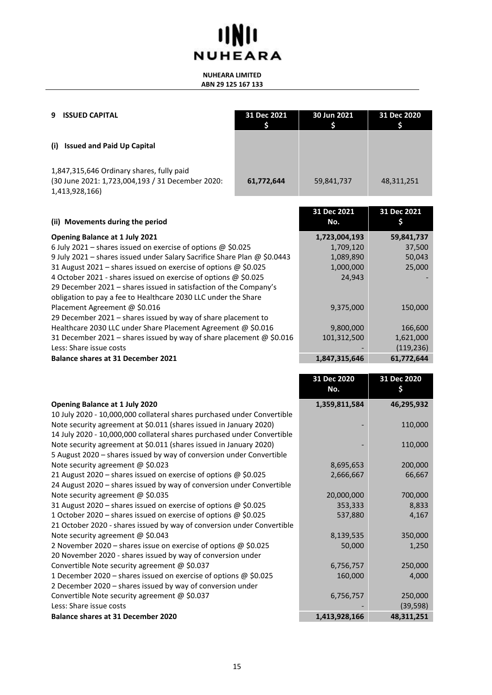# **IINII NUHEARA**

#### **NUHEARA LIMITED ABN 29 125 167 133**

<span id="page-14-0"></span>

| <b>ISSUED CAPITAL</b><br>9                                                                                      | 31 Dec 2021 | 30 Jun 2021 | 31 Dec 2020 |
|-----------------------------------------------------------------------------------------------------------------|-------------|-------------|-------------|
| <b>Issued and Paid Up Capital</b><br>(i)                                                                        |             |             |             |
| 1,847,315,646 Ordinary shares, fully paid<br>(30 June 2021: 1,723,004,193 / 31 December 2020:<br>1,413,928,166) | 61,772,644  | 59,841,737  | 48,311,251  |

| (ii) Movements during the period                                            | 31 Dec 2021<br>No. | 31 Dec 2021 |
|-----------------------------------------------------------------------------|--------------------|-------------|
| <b>Opening Balance at 1 July 2021</b>                                       | 1,723,004,193      | 59,841,737  |
| 6 July 2021 – shares issued on exercise of options $\omega$ \$0.025         | 1,709,120          | 37,500      |
| 9 July 2021 - shares issued under Salary Sacrifice Share Plan @ \$0.0443    | 1,089,890          | 50,043      |
| 31 August 2021 - shares issued on exercise of options @ \$0.025             | 1,000,000          | 25,000      |
| 4 October 2021 - shares issued on exercise of options @ \$0.025             | 24,943             |             |
| 29 December 2021 – shares issued in satisfaction of the Company's           |                    |             |
| obligation to pay a fee to Healthcare 2030 LLC under the Share              |                    |             |
| Placement Agreement @ \$0.016                                               | 9,375,000          | 150,000     |
| 29 December 2021 - shares issued by way of share placement to               |                    |             |
| Healthcare 2030 LLC under Share Placement Agreement @ \$0.016               | 9,800,000          | 166,600     |
| 31 December 2021 – shares issued by way of share placement $\omega$ \$0.016 | 101,312,500        | 1,621,000   |
| Less: Share issue costs                                                     |                    | (119, 236)  |
| <b>Balance shares at 31 December 2021</b>                                   | 1,847,315,646      | 61.772.644  |

|                                                                         | 31 Dec 2020<br>No. | 31 Dec 2020<br>\$ |
|-------------------------------------------------------------------------|--------------------|-------------------|
|                                                                         |                    |                   |
| <b>Opening Balance at 1 July 2020</b>                                   | 1,359,811,584      | 46,295,932        |
| 10 July 2020 - 10,000,000 collateral shares purchased under Convertible |                    |                   |
| Note security agreement at \$0.011 (shares issued in January 2020)      |                    | 110,000           |
| 14 July 2020 - 10,000,000 collateral shares purchased under Convertible |                    |                   |
| Note security agreement at \$0.011 (shares issued in January 2020)      |                    | 110,000           |
| 5 August 2020 – shares issued by way of conversion under Convertible    |                    |                   |
| Note security agreement @ \$0.023                                       | 8,695,653          | 200,000           |
| 21 August 2020 – shares issued on exercise of options @ \$0.025         | 2,666,667          | 66,667            |
| 24 August 2020 - shares issued by way of conversion under Convertible   |                    |                   |
| Note security agreement @ \$0.035                                       | 20,000,000         | 700,000           |
| 31 August 2020 - shares issued on exercise of options @ \$0.025         | 353,333            | 8,833             |
| 1 October 2020 – shares issued on exercise of options @ \$0.025         | 537,880            | 4,167             |
| 21 October 2020 - shares issued by way of conversion under Convertible  |                    |                   |
| Note security agreement $@$ \$0.043                                     | 8,139,535          | 350,000           |
| 2 November 2020 – shares issue on exercise of options $\omega$ \$0.025  | 50,000             | 1,250             |
| 20 November 2020 - shares issued by way of conversion under             |                    |                   |
| Convertible Note security agreement @ \$0.037                           | 6,756,757          | 250,000           |
| 1 December 2020 – shares issued on exercise of options @ \$0.025        | 160,000            | 4,000             |
| 2 December 2020 - shares issued by way of conversion under              |                    |                   |
| Convertible Note security agreement @ \$0.037                           | 6,756,757          | 250,000           |
| Less: Share issue costs                                                 |                    | (39, 598)         |
| <b>Balance shares at 31 December 2020</b>                               | 1,413,928,166      | 48,311,251        |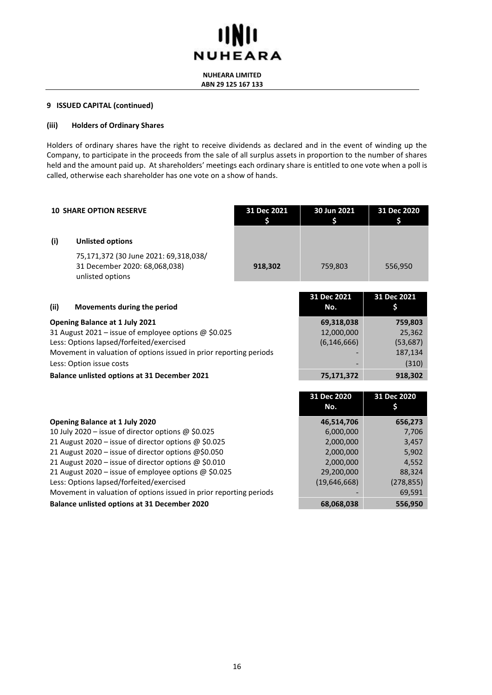

**NUHEARA LIMITED ABN 29 125 167 133**

#### **9 ISSUED CAPITAL (continued)**

#### **(iii) Holders of Ordinary Shares**

Holders of ordinary shares have the right to receive dividends as declared and in the event of winding up the Company, to participate in the proceeds from the sale of all surplus assets in proportion to the number of shares held and the amount paid up. At shareholders' meetings each ordinary share is entitled to one vote when a poll is called, otherwise each shareholder has one vote on a show of hands.

<span id="page-15-0"></span>

|                                                                                                                                                                                                                                      | <b>10 SHARE OPTION RESERVE</b>                                                                                                                                                                                                                                                                                                                                                                                                        | 31 Dec 2021<br>\$                         | 30 Jun 2021<br>\$                                                                            | 31 Dec 2020<br>S                                                              |
|--------------------------------------------------------------------------------------------------------------------------------------------------------------------------------------------------------------------------------------|---------------------------------------------------------------------------------------------------------------------------------------------------------------------------------------------------------------------------------------------------------------------------------------------------------------------------------------------------------------------------------------------------------------------------------------|-------------------------------------------|----------------------------------------------------------------------------------------------|-------------------------------------------------------------------------------|
| (i)                                                                                                                                                                                                                                  | <b>Unlisted options</b>                                                                                                                                                                                                                                                                                                                                                                                                               |                                           |                                                                                              |                                                                               |
|                                                                                                                                                                                                                                      | 75,171,372 (30 June 2021: 69,318,038/<br>31 December 2020: 68,068,038)<br>unlisted options                                                                                                                                                                                                                                                                                                                                            | 918,302                                   | 759,803                                                                                      | 556,950                                                                       |
| (ii)                                                                                                                                                                                                                                 | Movements during the period                                                                                                                                                                                                                                                                                                                                                                                                           |                                           | 31 Dec 2021<br>No.                                                                           | 31 Dec 2021<br>\$                                                             |
| Opening Balance at 1 July 2021<br>31 August 2021 - issue of employee options @ \$0.025<br>Less: Options lapsed/forfeited/exercised<br>Movement in valuation of options issued in prior reporting periods<br>Less: Option issue costs |                                                                                                                                                                                                                                                                                                                                                                                                                                       | 69,318,038<br>12,000,000<br>(6, 146, 666) | 759,803<br>25,362<br>(53, 687)<br>187,134<br>(310)                                           |                                                                               |
|                                                                                                                                                                                                                                      | <b>Balance unlisted options at 31 December 2021</b>                                                                                                                                                                                                                                                                                                                                                                                   |                                           | 75,171,372                                                                                   | 918,302                                                                       |
|                                                                                                                                                                                                                                      |                                                                                                                                                                                                                                                                                                                                                                                                                                       |                                           | 31 Dec 2020<br>No.                                                                           | 31 Dec 2020<br>\$                                                             |
|                                                                                                                                                                                                                                      | Opening Balance at 1 July 2020<br>10 July 2020 - issue of director options @ \$0.025<br>21 August 2020 - issue of director options @ \$0.025<br>21 August 2020 - issue of director options @\$0.050<br>21 August 2020 - issue of director options @ \$0.010<br>21 August 2020 – issue of employee options @ \$0.025<br>Less: Options lapsed/forfeited/exercised<br>Movement in valuation of options issued in prior reporting periods |                                           | 46,514,706<br>6,000,000<br>2,000,000<br>2,000,000<br>2,000,000<br>29,200,000<br>(19,646,668) | 656,273<br>7,706<br>3,457<br>5,902<br>4,552<br>88,324<br>(278, 855)<br>69,591 |

**Balance unlisted options at 31 December 2020 68,068,038 556,950**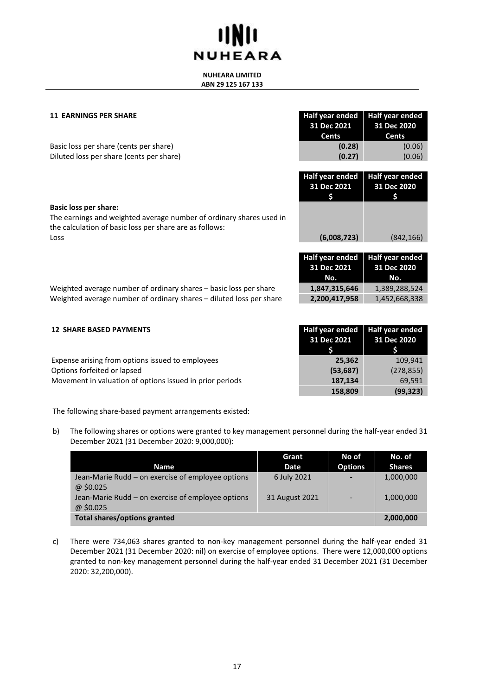#### **NUHEARA LIMITED ABN 29 125 167 133**

<span id="page-16-1"></span>

| <b>11 EARNINGS PER SHARE</b> | <b>Half year ended</b> |
|------------------------------|------------------------|
|                              | 31 Dec 2021            |
|                              |                        |

|                                                                     | ---------       | --------        |
|---------------------------------------------------------------------|-----------------|-----------------|
|                                                                     | <b>Cents</b>    | <b>Cents</b>    |
| Basic loss per share (cents per share)                              | (0.28)          | (0.06)          |
| Diluted loss per share (cents per share)                            | (0.27)          | (0.06)          |
|                                                                     |                 |                 |
|                                                                     | Half year ended | Half year ended |
|                                                                     | 31 Dec 2021     | 31 Dec 2020     |
|                                                                     |                 |                 |
| Basic loss per share:                                               |                 |                 |
| The earnings and weighted average number of ordinary shares used in |                 |                 |
| the calculation of basic loss per share are as follows:             |                 |                 |

Loss **(6,008,723)** (842,166)

**Half year ended 31 Dec 2020**

| <b>Half year ended</b><br>31 Dec 2021<br>No. | <b>Half year ended</b><br>31 Dec 2020<br>. No.<br>and the second state of |
|----------------------------------------------|---------------------------------------------------------------------------|
| 1,847,315,646                                | 1,389,288,524                                                             |
| 2,200,417,958                                | 1,452,668,338                                                             |

Weighted average number of ordinary shares – basic loss per share Weighted average number of ordinary shares – diluted loss per share

<span id="page-16-0"></span>

| <b>12 SHARE BASED PAYMENTS</b>                           | <b>Half year ended</b><br>31 Dec 2021 | Half year ended<br>31 Dec 2020 |
|----------------------------------------------------------|---------------------------------------|--------------------------------|
| Expense arising from options issued to employees         | 25.362                                | 109.941                        |
| Options forfeited or lapsed                              | (53, 687)                             | (278, 855)                     |
| Movement in valuation of options issued in prior periods | 187,134                               | 69,591                         |
|                                                          | 158,809                               | (99, 323)                      |

The following share-based payment arrangements existed:

b) The following shares or options were granted to key management personnel during the half-year ended 31 December 2021 (31 December 2020: 9,000,000):

|                                                               | Grant          | No of          | No. of        |
|---------------------------------------------------------------|----------------|----------------|---------------|
| <b>Name</b>                                                   | Date           | <b>Options</b> | <b>Shares</b> |
| Jean-Marie Rudd - on exercise of employee options<br>@\$0.025 | 6 July 2021    |                | 1,000,000     |
| Jean-Marie Rudd – on exercise of employee options<br>@\$0.025 | 31 August 2021 |                | 1,000,000     |
| <b>Total shares/options granted</b>                           |                |                | 2,000,000     |

c) There were 734,063 shares granted to non-key management personnel during the half-year ended 31 December 2021 (31 December 2020: nil) on exercise of employee options. There were 12,000,000 options granted to non-key management personnel during the half-year ended 31 December 2021 (31 December 2020: 32,200,000).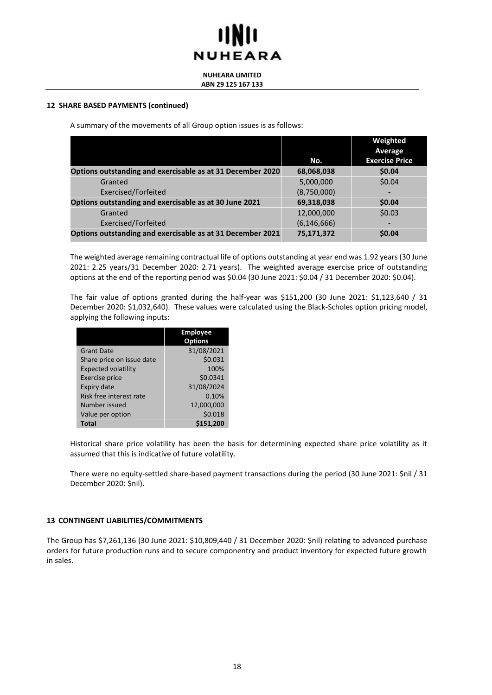#### **NUHEARA LIMITED ABN 29 125 167 133**

#### **12 SHARE BASED PAYMENTS (continued)**

A summary of the movements of all Group option issues is as follows:

|                                                            |               | Weighted              |
|------------------------------------------------------------|---------------|-----------------------|
|                                                            |               | Average               |
|                                                            | No.           | <b>Exercise Price</b> |
| Options outstanding and exercisable as at 31 December 2020 | 68,068,038    | \$0.04                |
| Granted                                                    | 5,000,000     | \$0.04                |
| Exercised/Forfeited                                        | (8,750,000)   |                       |
| Options outstanding and exercisable as at 30 June 2021     | 69,318,038    | \$0.04                |
| Granted                                                    | 12,000,000    | \$0.03                |
| Exercised/Forfeited                                        | (6, 146, 666) |                       |
| Options outstanding and exercisable as at 31 December 2021 | 75,171,372    | \$0.04                |

The weighted average remaining contractual life of options outstanding at year end was 1.92 years (30 June 2021: 2.25 years/31 December 2020: 2.71 years). The weighted average exercise price of outstanding options at the end of the reporting period was \$0.04 (30 June 2021: \$0.04 / 31 December 2020: \$0.04).

The fair value of options granted during the half-year was \$151,200 (30 June 2021: \$1,123,640 / 31 December 2020: \$1,032,640). These values were calculated using the Black-Scholes option pricing model, applying the following inputs:

|                            | <b>Employee</b><br><b>Options</b> |
|----------------------------|-----------------------------------|
| <b>Grant Date</b>          | 31/08/2021                        |
| Share price on issue date  | \$0.031                           |
| <b>Expected volatility</b> | 100%                              |
| <b>Exercise price</b>      | \$0.0341                          |
| Expiry date                | 31/08/2024                        |
| Risk free interest rate    | 0.10%                             |
| Number issued              | 12,000,000                        |
| Value per option           | \$0.018                           |
| Total                      | \$151,200                         |

Historical share price volatility has been the basis for determining expected share price volatility as it assumed that this is indicative of future volatility.

There were no equity-settled share-based payment transactions during the period (30 June 2021: \$nil / 31 December 2020: \$nil).

#### **13 CONTINGENT LIABILITIES/COMMITMENTS**

The Group has \$7,261,136 (30 June 2021: \$10,809,440 / 31 December 2020: \$nil) relating to advanced purchase orders for future production runs and to secure componentry and product inventory for expected future growth in sales.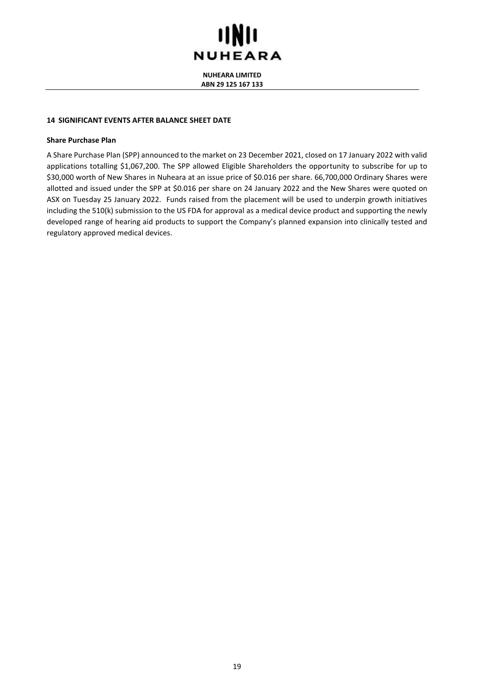## **IINII NUHEARA**

**NUHEARA LIMITED ABN 29 125 167 133**

#### **14 SIGNIFICANT EVENTS AFTER BALANCE SHEET DATE**

#### **Share Purchase Plan**

A Share Purchase Plan (SPP) announced to the market on 23 December 2021, closed on 17 January 2022 with valid applications totalling \$1,067,200. The SPP allowed Eligible Shareholders the opportunity to subscribe for up to \$30,000 worth of New Shares in Nuheara at an issue price of \$0.016 per share. 66,700,000 Ordinary Shares were allotted and issued under the SPP at \$0.016 per share on 24 January 2022 and the New Shares were quoted on ASX on Tuesday 25 January 2022. Funds raised from the placement will be used to underpin growth initiatives including the 510(k) submission to the US FDA for approval as a medical device product and supporting the newly developed range of hearing aid products to support the Company's planned expansion into clinically tested and regulatory approved medical devices.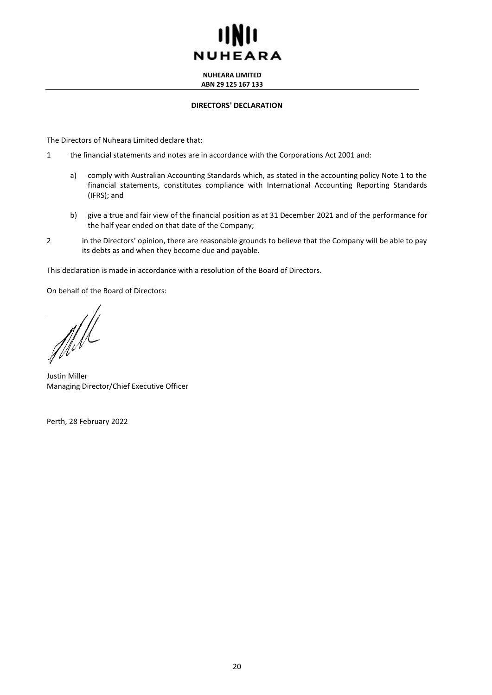**NUHEARA LIMITED ABN 29 125 167 133**

#### **DIRECTORS' DECLARATION**

The Directors of Nuheara Limited declare that:

- 1 the financial statements and notes are in accordance with the Corporations Act 2001 and:
	- a) comply with Australian Accounting Standards which, as stated in the accounting policy Note 1 to the financial statements, constitutes compliance with International Accounting Reporting Standards (IFRS); and
	- b) give a true and fair view of the financial position as at 31 December 2021 and of the performance for the half year ended on that date of the Company;
- 2 in the Directors' opinion, there are reasonable grounds to believe that the Company will be able to pay its debts as and when they become due and payable.

This declaration is made in accordance with a resolution of the Board of Directors.

On behalf of the Board of Directors:

The

Justin Miller Managing Director/Chief Executive Officer

Perth, 28 February 2022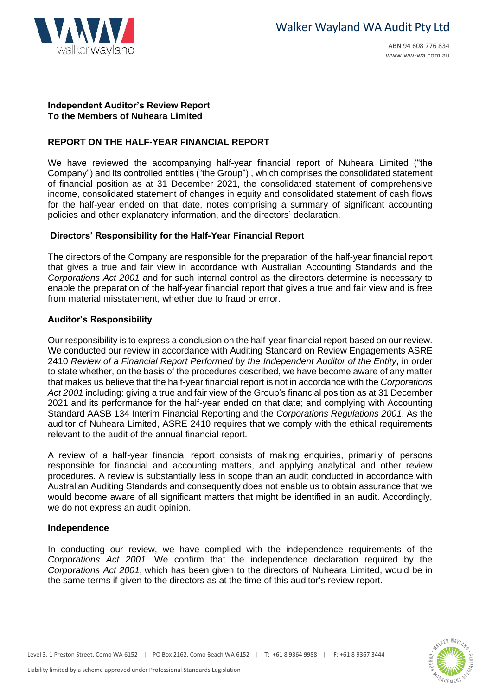

### **Independent Auditor's Review Report To the Members of Nuheara Limited**

### **REPORT ON THE HALF-YEAR FINANCIAL REPORT**

We have reviewed the accompanying half-year financial report of Nuheara Limited ("the Company") and its controlled entities ("the Group") , which comprises the consolidated statement of financial position as at 31 December 2021, the consolidated statement of comprehensive income, consolidated statement of changes in equity and consolidated statement of cash flows for the half-year ended on that date, notes comprising a summary of significant accounting policies and other explanatory information, and the directors' declaration.

## **Directors' Responsibility for the Half-Year Financial Report**

The directors of the Company are responsible for the preparation of the half-year financial report that gives a true and fair view in accordance with Australian Accounting Standards and the *Corporations Act 2001* and for such internal control as the directors determine is necessary to enable the preparation of the half-year financial report that gives a true and fair view and is free from material misstatement, whether due to fraud or error.

## **Auditor's Responsibility**

Our responsibility is to express a conclusion on the half-year financial report based on our review. We conducted our review in accordance with Auditing Standard on Review Engagements ASRE 2410 *Review of a Financial Report Performed by the Independent Auditor of the Entity*, in order to state whether, on the basis of the procedures described, we have become aware of any matter that makes us believe that the half-year financial report is not in accordance with the *Corporations Act 2001* including: giving a true and fair view of the Group's financial position as at 31 December 2021 and its performance for the half-year ended on that date; and complying with Accounting Standard AASB 134 Interim Financial Reporting and the *Corporations Regulations 2001*. As the auditor of Nuheara Limited, ASRE 2410 requires that we comply with the ethical requirements relevant to the audit of the annual financial report.

A review of a half-year financial report consists [of making enquiries, primarily of persons](http://www.ww-wa.com.au/)  responsible for financial and accounting matters, [and applying analytical and other review](http://www.ww-wa.com.au/)  procedures. A review is substantially less in scope than an audit conducted in accordance with Australian Auditing Standards and consequently do[es not enable us to obtain assurance that we](http://www.ww-wa.com.au/)  would become aware of all significant matters that [might be identified in an audit. Accordingly,](http://www.ww-wa.com.au/)  we do not express an audit opinion.

### **Independence**

In conducting our review, we have complied wi[th the independence requirements of the](http://www.ww-wa.com.au/)  *Corporations Act 2001*. We confirm that the independence declaration required by the *Corporations Act 2001*, which has been given to th[e directors of Nuheara Limited, would be in](http://www.ww-wa.com.au/)  the same terms if given to the directors as at the ti[me of this auditor's review report.](http://www.ww-wa.com.au/)